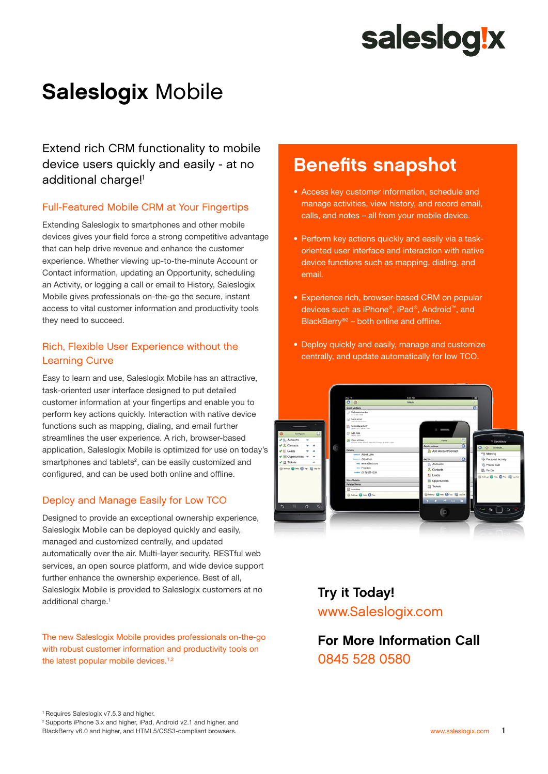# saleslog!x

# Saleslogix Mobile

Extend rich CRM functionality to mobile device users quickly and easily - at no additional charge!<sup>1</sup>

#### Full-Featured Mobile CRM at Your Fingertips

Extending Saleslogix to smartphones and other mobile devices gives your field force a strong competitive advantage that can help drive revenue and enhance the customer experience. Whether viewing up-to-the-minute Account or Contact information, updating an Opportunity, scheduling an Activity, or logging a call or email to History, Saleslogix Mobile gives professionals on-the-go the secure, instant access to vital customer information and productivity tools they need to succeed.

#### Rich, Flexible User Experience without the Learning Curve

Easy to learn and use, Saleslogix Mobile has an attractive, task-oriented user interface designed to put detailed customer information at your fingertips and enable you to perform key actions quickly. Interaction with native device functions such as mapping, dialing, and email further streamlines the user experience. A rich, browser-based application, Saleslogix Mobile is optimized for use on today's smartphones and tablets<sup>2</sup>, can be easily customized and configured, and can be used both online and offline.

#### Deploy and Manage Easily for Low TCO

Designed to provide an exceptional ownership experience, Saleslogix Mobile can be deployed quickly and easily, managed and customized centrally, and updated automatically over the air. Multi-layer security, RESTful web services, an open source platform, and wide device support further enhance the ownership experience. Best of all, Saleslogix Mobile is provided to Saleslogix customers at no additional charge.<sup>1</sup>

The new Saleslogix Mobile provides professionals on-the-go with robust customer information and productivity tools on the latest popular mobile devices.<sup>1,2</sup>

2 Supports iPhone 3.x and higher, iPad, Android v2.1 and higher, and BlackBerry v6.0 and higher, and HTML5/CSS3-compliant browsers.

## Benefits snapshot

- Access key customer information, schedule and manage activities, view history, and record email, calls, and notes – all from your mobile device.
- Perform key actions quickly and easily via a taskoriented user interface and interaction with native device functions such as mapping, dialing, and email.
- Experience rich, browser-based CRM on popular devices such as iPhone®, iPad®, Android™, and BlackBerry®2 – both online and offline.
- Deploy quickly and easily, manage and customize centrally, and update automatically for low TCO.



### Try it Today! [www.Saleslogix.com](www.saleslogix.com)

For More Information Call 0845 528 0580

<sup>1</sup> Requires Saleslogix v7.5.3 and higher.